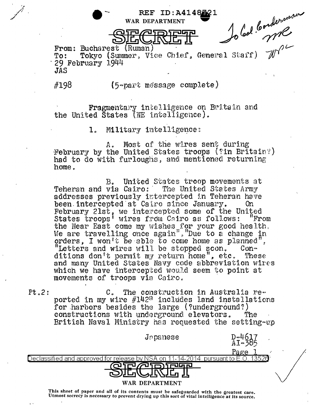$\underbrace{\text{Submatrix (Ruman)}\n Bucharest (Ruman)\n Tokyo (Summer, Vice Chief, General Start) W^2\n Yn 1944\n (5-par*$ From: Bucharest (Ruman) **To:** 29 February 1944 JAS

#198

Fragmentary intelligence on Britain and the United States (NE intelligence).

> Military intelligence:  $\mathbf{1}$

Most of the wires sent during  $A_{\alpha}$ February by the United States troops (?in Britain?) had to do with furloughs, and mentloned returning home.

United States troop movements at  $B_{\bullet}$ Teheran and via Cairo: The United States Army addresses previously intercepted in Teheran have been intercepted at Cairo since January.  $0<sub>n</sub>$ February 21st, we intercepted some of the United States troops' wires from Cairo as follows: "From the Near East come my wishes for your good health. We are travelling once again", "Due to a change in orders, I won't be able to come home as planned", "Letters and wires will be stopped scon.  $Con_{\mathcal{D}}$ ditions don't permit my return home", etc. These and many United States Navy code abbreviation wires which we have intercepted would seem to point at movements of troops via Cairo.

 $Pt.2:$ The construction in Australia re- $\mathcal{C}$ . ported in my wire #142<sup>2</sup> includes land installations for harbors besides the large (?underground?) constructions with underground elevators. The British Naval Ministry has requested the setting-up

| Japanese<br>إيقادته ا<br>. 63                                                            |  |
|------------------------------------------------------------------------------------------|--|
| <u>Page</u>                                                                              |  |
| 13526<br>pursuant to E.O<br>Declassified and approved for release by NSA on-<br>14-2014. |  |
| uln ri                                                                                   |  |
| WAR DEPARTMENT                                                                           |  |

This sheet of paper and all of its contents must be safeguarded with the greatest care. Utmost secrecy is necessary to prevent drying up this sort of vital intelligence at its source.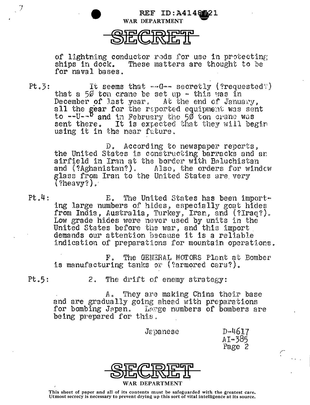

of lightning conductor rods for use in protecting ships in dock. These matters are thought to be for naval bases.

REF ID:A414821

 $Pt.3:$ It seems that  $\sim$ -G $\sim$  secretly (?requested:) that a 50 ton crane be set up  $-$  this was in December of last year, At the end of January, all the gear for the reported equipment was sent<br>to --U--<sup>D</sup> and in February the 50 ton crane was sent there. It is expected that they will begin using it in the near future.

> D. According to newspaper reports, the United States is constructing barracks and an airfield in Iran at the border with Baluchistan and (?Aghanistan?). Also, the orders for window glass from Iran to the United States are very  $( ?$ heavy?).

 $Pt, 4$ : E. The United States has been importing large numbers of hides, especially goat hides from India, Australia, Turkey, Iran, and (?Iraq?). Low grade hides were never used by units in the United States before the war, and this import demands our attention because it is a reliable indication of preparations for mountain operations.

> The GENERAL MOTORS Plant at Bomber  $\mathbf{F}$  . is manufacturing tanks or (?armored cars?).

 $Pt.5:$ 

The drift of enemy strategy:  $2.$ 

They are making China their base  $A_{\alpha}$ and are gradually going ahead with preparations for bombing Japan. Large numbers of bombers are being prepared for this.

 $Jepance$ 

 $D - 4617$  $A$ I-385 Page 2

 $\overline{C}_{\alpha\beta\gamma\delta\gamma}$ 



This sheet of paper and all of its contents must be safeguarded with the greatest care.<br>Utmost secrecy is necessary to prevent drying up this sort of vital intelligence at its source.